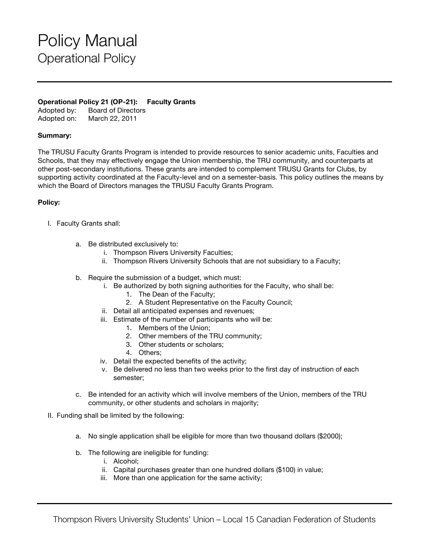# Policy Manual Operational Policy

### **Operational Policy 21 (OP-21): Faculty Grants**

Adopted by: Board of Directors Adopted on: March 22, 2011

### **Summary:**

The TRUSU Faculty Grants Program is intended to provide resources to senior academic units, Faculties and Schools, that they may effectively engage the Union membership, the TRU community, and counterparts at other post-secondary institutions. These grants are intended to complement TRUSU Grants for Clubs, by supporting activity coordinated at the Faculty-level and on a semester-basis. This policy outlines the means by which the Board of Directors manages the TRUSU Faculty Grants Program.

### **Policy:**

- I. Faculty Grants shall:
	- a. Be distributed exclusively to:
		- i. Thompson Rivers University Faculties;
		- ii. Thompson Rivers University Schools that are not subsidiary to a Faculty;
	- b. Require the submission of a budget, which must:
		- i. Be authorized by both signing authorities for the Faculty, who shall be:
			- 1. The Dean of the Faculty;
			- 2. A Student Representative on the Faculty Council;
		- ii. Detail all anticipated expenses and revenues;
		- iii. Estimate of the number of participants who will be:
			- 1. Members of the Union;
			- 2. Other members of the TRU community;
			- 3. Other students or scholars;
			- 4. Others;
		- iv. Detail the expected benefits of the activity;
		- v. Be delivered no less than two weeks prior to the first day of instruction of each semester;
	- c. Be intended for an activity which will involve members of the Union, members of the TRU community, or other students and scholars in majority;
- II. Funding shall be limited by the following:
	- a. No single application shall be eligible for more than two thousand dollars (\$2000);
	- b. The following are ineligible for funding:
		- i. Alcohol;
		- ii. Capital purchases greater than one hundred dollars (\$100) in value;
		- iii. More than one application for the same activity;